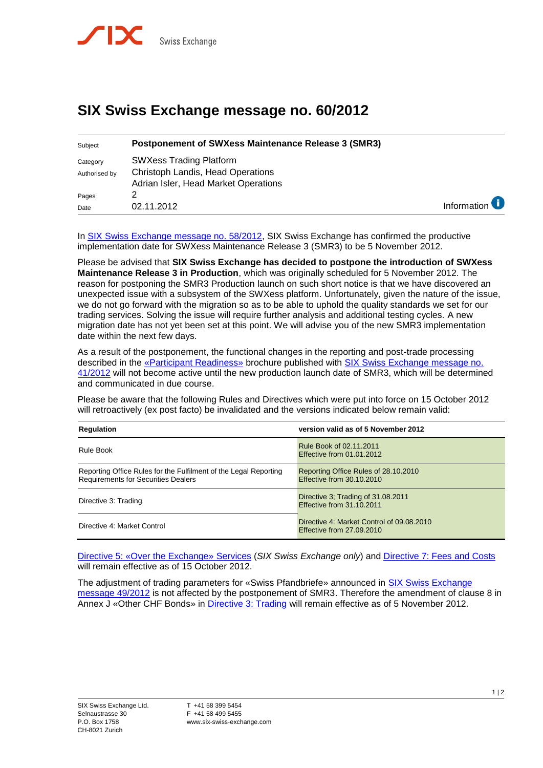

## **SIX Swiss Exchange message no. 60/2012**

| Subject                   | <b>Postponement of SWXess Maintenance Release 3 (SMR3)</b>                                                         |                          |
|---------------------------|--------------------------------------------------------------------------------------------------------------------|--------------------------|
| Category<br>Authorised by | <b>SWXess Trading Platform</b><br><b>Christoph Landis, Head Operations</b><br>Adrian Isler, Head Market Operations |                          |
| Pages                     |                                                                                                                    |                          |
| Date                      | 02.11.2012                                                                                                         | Information <sup>1</sup> |

In [SIX Swiss Exchange message no. 58/2012,](http://www.six-swiss-exchange.com/swx_messages/online/swx_message_201210301507_en.pdf) SIX Swiss Exchange has confirmed the productive implementation date for SWXess Maintenance Release 3 (SMR3) to be 5 November 2012.

Please be advised that **SIX Swiss Exchange has decided to postpone the introduction of SWXess Maintenance Release 3 in Production**, which was originally scheduled for 5 November 2012. The reason for postponing the SMR3 Production launch on such short notice is that we have discovered an unexpected issue with a subsystem of the SWXess platform. Unfortunately, given the nature of the issue, we do not go forward with the migration so as to be able to uphold the quality standards we set for our trading services. Solving the issue will require further analysis and additional testing cycles. A new migration date has not yet been set at this point. We will advise you of the new SMR3 implementation date within the next few days.

As a result of the postponement, the functional changes in the reporting and post-trade processing described in the [«Participant Readiness»](http://www.six-swiss-exchange.com/swx_messages/online/swx_message_201208241436_at0_de.pdf) brochure published with [SIX Swiss Exchange message no.](http://www.six-swiss-exchange.com/swx_messages/online/swx_message_201208241436_en.pdf)  [41/2012](http://www.six-swiss-exchange.com/swx_messages/online/swx_message_201208241436_en.pdf) will not become active until the new production launch date of SMR3, which will be determined and communicated in due course.

Please be aware that the following Rules and Directives which were put into force on 15 October 2012 will retroactively (ex post facto) be invalidated and the versions indicated below remain valid:

| <b>Regulation</b>                                                                                              | version valid as of 5 November 2012                                    |
|----------------------------------------------------------------------------------------------------------------|------------------------------------------------------------------------|
| Rule Book                                                                                                      | Rule Book of 02.11.2011<br>Effective from 01.01.2012                   |
| Reporting Office Rules for the Fulfilment of the Legal Reporting<br><b>Requirements for Securities Dealers</b> | Reporting Office Rules of 28.10.2010<br>Effective from 30.10.2010      |
| Directive 3: Trading                                                                                           | Directive 3; Trading of 31.08.2011<br>Effective from 31.10.2011        |
| Directive 4: Market Control                                                                                    | Directive 4: Market Control of 09.08.2010<br>Effective from 27,09,2010 |

[Directive 5: «Over the Exchange»](http://www.six-swiss-exchange.com/rule_book/06-DIR05_en.pdf) Services (*SIX Swiss Exchange only*) and [Directive 7: Fees and Costs](http://www.six-swiss-exchange.com/rule_book/08-DIR07_en.pdf) will remain effective as of 15 October 2012.

The adjustment of trading parameters for «Swiss Pfandbriefe» announced in **SIX Swiss Exchange** [message 49/2012](http://www.six-swiss-exchange.com/swx_messages/online/swx_message_201209211355_en.pdf) is not affected by the postponement of SMR3. Therefore the amendment of clause 8 in Annex J «Other CHF Bonds» in [Directive 3: Trading](http://www.six-swiss-exchange.com/rule_book/04-DIR03_en.pdf) will remain effective as of 5 November 2012.